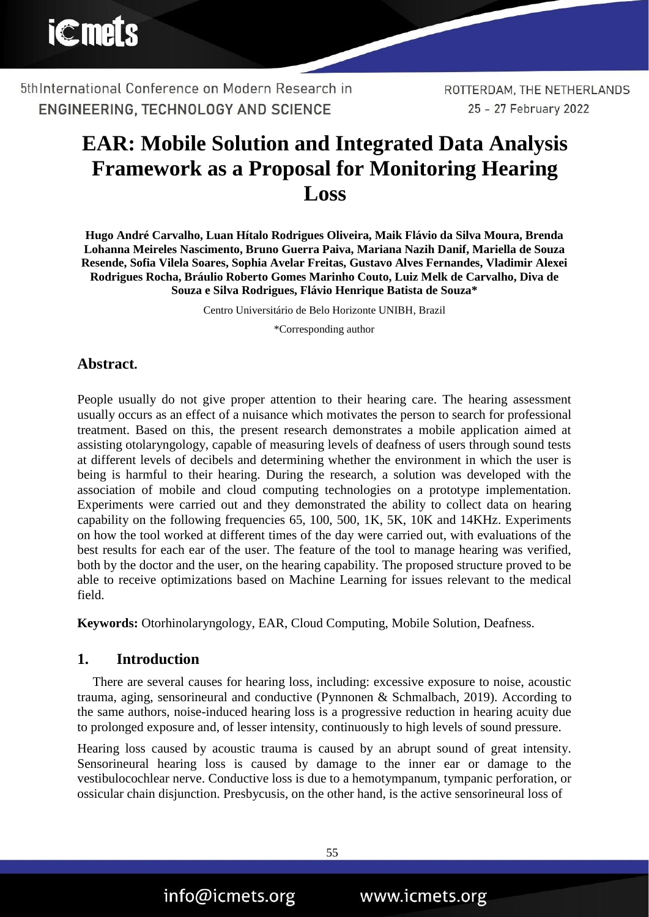

ROTTERDAM, THE NETHERLANDS 25 - 27 February 2022

# **EAR: Mobile Solution and Integrated Data Analysis Framework as a Proposal for Monitoring Hearing Loss**

**Hugo André Carvalho, Luan Hítalo Rodrigues Oliveira, Maik Flávio da Silva Moura, Brenda Lohanna Meireles Nascimento, Bruno Guerra Paiva, Mariana Nazih Danif, Mariella de Souza Resende, Sofia Vilela Soares, Sophia Avelar Freitas, Gustavo Alves Fernandes, Vladimir Alexei Rodrigues Rocha, Bráulio Roberto Gomes Marinho Couto, Luiz Melk de Carvalho, Diva de Souza e Silva Rodrigues, Flávio Henrique Batista de Souza\***

Centro Universitário de Belo Horizonte UNIBH, Brazil

\*Corresponding author

## **Abstract.**

People usually do not give proper attention to their hearing care. The hearing assessment usually occurs as an effect of a nuisance which motivates the person to search for professional treatment. Based on this, the present research demonstrates a mobile application aimed at assisting otolaryngology, capable of measuring levels of deafness of users through sound tests at different levels of decibels and determining whether the environment in which the user is being is harmful to their hearing. During the research, a solution was developed with the association of mobile and cloud computing technologies on a prototype implementation. Experiments were carried out and they demonstrated the ability to collect data on hearing capability on the following frequencies 65, 100, 500, 1K, 5K, 10K and 14KHz. Experiments on how the tool worked at different times of the day were carried out, with evaluations of the best results for each ear of the user. The feature of the tool to manage hearing was verified, both by the doctor and the user, on the hearing capability. The proposed structure proved to be able to receive optimizations based on Machine Learning for issues relevant to the medical field.

**Keywords:** Otorhinolaryngology, EAR, Cloud Computing, Mobile Solution, Deafness.

### **1. Introduction**

There are several causes for hearing loss, including: excessive exposure to noise, acoustic trauma, aging, sensorineural and conductive (Pynnonen & Schmalbach, 2019). According to the same authors, noise-induced hearing loss is a progressive reduction in hearing acuity due to prolonged exposure and, of lesser intensity, continuously to high levels of sound pressure.

Hearing loss caused by acoustic trauma is caused by an abrupt sound of great intensity. Sensorineural hearing loss is caused by damage to the inner ear or damage to the vestibulocochlear nerve. Conductive loss is due to a hemotympanum, tympanic perforation, or ossicular chain disjunction. Presbycusis, on the other hand, is the active sensorineural loss of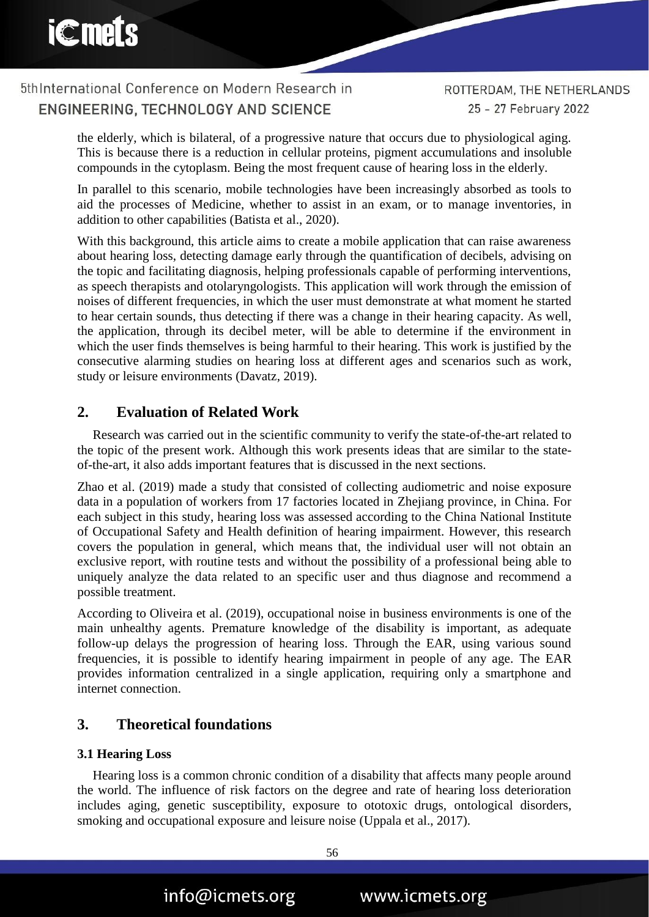5th International Conference on Modern Research in ENGINEERING. TECHNOLOGY AND SCIENCE

ROTTERDAM, THE NETHERLANDS 25 - 27 February 2022

the elderly, which is bilateral, of a progressive nature that occurs due to physiological aging. This is because there is a reduction in cellular proteins, pigment accumulations and insoluble compounds in the cytoplasm. Being the most frequent cause of hearing loss in the elderly.

In parallel to this scenario, mobile technologies have been increasingly absorbed as tools to aid the processes of Medicine, whether to assist in an exam, or to manage inventories, in addition to other capabilities (Batista et al., 2020).

With this background, this article aims to create a mobile application that can raise awareness about hearing loss, detecting damage early through the quantification of decibels, advising on the topic and facilitating diagnosis, helping professionals capable of performing interventions, as speech therapists and otolaryngologists. This application will work through the emission of noises of different frequencies, in which the user must demonstrate at what moment he started to hear certain sounds, thus detecting if there was a change in their hearing capacity. As well, the application, through its decibel meter, will be able to determine if the environment in which the user finds themselves is being harmful to their hearing. This work is justified by the consecutive alarming studies on hearing loss at different ages and scenarios such as work, study or leisure environments (Davatz, 2019).

## **2. Evaluation of Related Work**

Research was carried out in the scientific community to verify the state-of-the-art related to the topic of the present work. Although this work presents ideas that are similar to the stateof-the-art, it also adds important features that is discussed in the next sections.

Zhao et al. (2019) made a study that consisted of collecting audiometric and noise exposure data in a population of workers from 17 factories located in Zhejiang province, in China. For each subject in this study, hearing loss was assessed according to the China National Institute of Occupational Safety and Health definition of hearing impairment. However, this research covers the population in general, which means that, the individual user will not obtain an exclusive report, with routine tests and without the possibility of a professional being able to uniquely analyze the data related to an specific user and thus diagnose and recommend a possible treatment.

According to Oliveira et al. (2019), occupational noise in business environments is one of the main unhealthy agents. Premature knowledge of the disability is important, as adequate follow-up delays the progression of hearing loss. Through the EAR, using various sound frequencies, it is possible to identify hearing impairment in people of any age. The EAR provides information centralized in a single application, requiring only a smartphone and internet connection.

## **3. Theoretical foundations**

### **3.1 Hearing Loss**

Hearing loss is a common chronic condition of a disability that affects many people around the world. The influence of risk factors on the degree and rate of hearing loss deterioration includes aging, genetic susceptibility, exposure to ototoxic drugs, ontological disorders, smoking and occupational exposure and leisure noise (Uppala et al., 2017).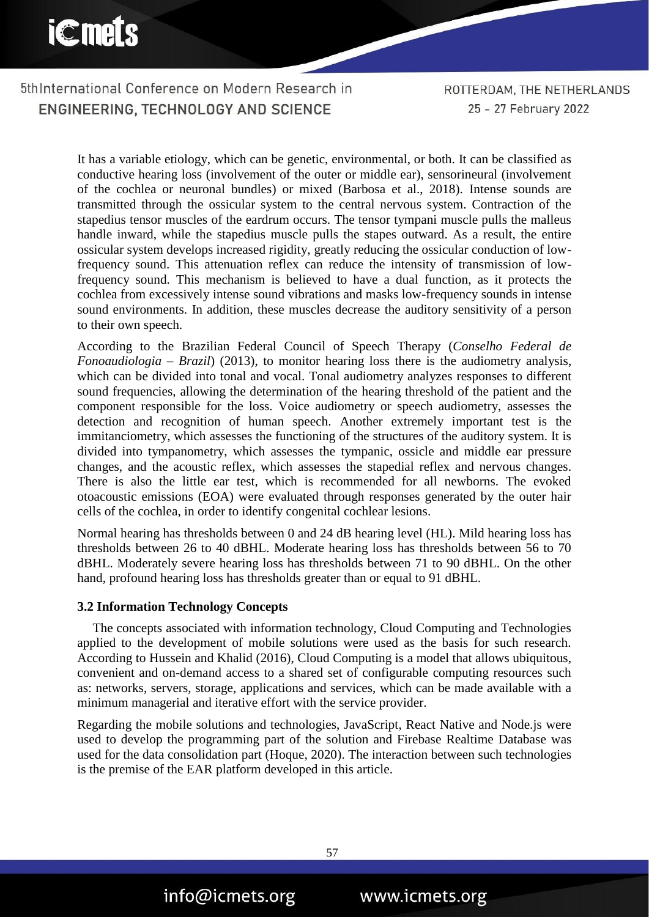5thInternational Conference on Modern Research in ENGINEERING, TECHNOLOGY AND SCIENCE

ROTTERDAM, THE NETHERLANDS 25 - 27 February 2022

It has a variable etiology, which can be genetic, environmental, or both. It can be classified as conductive hearing loss (involvement of the outer or middle ear), sensorineural (involvement of the cochlea or neuronal bundles) or mixed (Barbosa et al., 2018). Intense sounds are transmitted through the ossicular system to the central nervous system. Contraction of the stapedius tensor muscles of the eardrum occurs. The tensor tympani muscle pulls the malleus handle inward, while the stapedius muscle pulls the stapes outward. As a result, the entire ossicular system develops increased rigidity, greatly reducing the ossicular conduction of lowfrequency sound. This attenuation reflex can reduce the intensity of transmission of lowfrequency sound. This mechanism is believed to have a dual function, as it protects the cochlea from excessively intense sound vibrations and masks low-frequency sounds in intense sound environments. In addition, these muscles decrease the auditory sensitivity of a person to their own speech.

According to the Brazilian Federal Council of Speech Therapy (*Conselho Federal de Fonoaudiologia – Brazil*) (2013), to monitor hearing loss there is the audiometry analysis, which can be divided into tonal and vocal. Tonal audiometry analyzes responses to different sound frequencies, allowing the determination of the hearing threshold of the patient and the component responsible for the loss. Voice audiometry or speech audiometry, assesses the detection and recognition of human speech. Another extremely important test is the immitanciometry, which assesses the functioning of the structures of the auditory system. It is divided into tympanometry, which assesses the tympanic, ossicle and middle ear pressure changes, and the acoustic reflex, which assesses the stapedial reflex and nervous changes. There is also the little ear test, which is recommended for all newborns. The evoked otoacoustic emissions (EOA) were evaluated through responses generated by the outer hair cells of the cochlea, in order to identify congenital cochlear lesions.

Normal hearing has thresholds between 0 and 24 dB hearing level (HL). Mild hearing loss has thresholds between 26 to 40 dBHL. Moderate hearing loss has thresholds between 56 to 70 dBHL. Moderately severe hearing loss has thresholds between 71 to 90 dBHL. On the other hand, profound hearing loss has thresholds greater than or equal to 91 dBHL.

#### **3.2 Information Technology Concepts**

The concepts associated with information technology, Cloud Computing and Technologies applied to the development of mobile solutions were used as the basis for such research. According to Hussein and Khalid (2016), Cloud Computing is a model that allows ubiquitous, convenient and on-demand access to a shared set of configurable computing resources such as: networks, servers, storage, applications and services, which can be made available with a minimum managerial and iterative effort with the service provider.

Regarding the mobile solutions and technologies, JavaScript, React Native and Node.js were used to develop the programming part of the solution and Firebase Realtime Database was used for the data consolidation part (Hoque, 2020). The interaction between such technologies is the premise of the EAR platform developed in this article.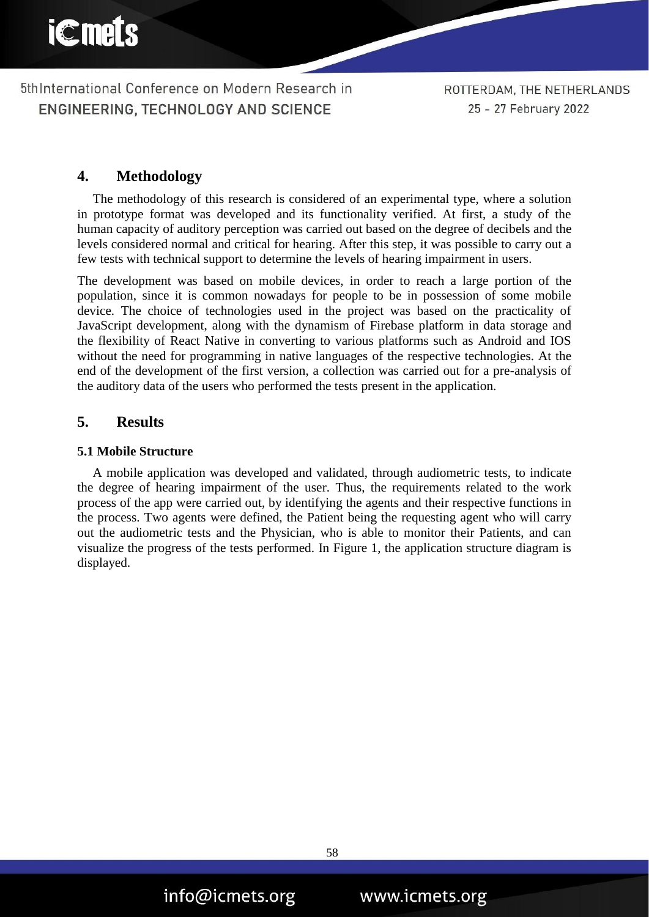ROTTERDAM, THE NETHERLANDS 25 - 27 February 2022

## **4. Methodology**

The methodology of this research is considered of an experimental type, where a solution in prototype format was developed and its functionality verified. At first, a study of the human capacity of auditory perception was carried out based on the degree of decibels and the levels considered normal and critical for hearing. After this step, it was possible to carry out a few tests with technical support to determine the levels of hearing impairment in users.

The development was based on mobile devices, in order to reach a large portion of the population, since it is common nowadays for people to be in possession of some mobile device. The choice of technologies used in the project was based on the practicality of JavaScript development, along with the dynamism of Firebase platform in data storage and the flexibility of React Native in converting to various platforms such as Android and IOS without the need for programming in native languages of the respective technologies. At the end of the development of the first version, a collection was carried out for a pre-analysis of the auditory data of the users who performed the tests present in the application.

## **5. Results**

#### **5.1 Mobile Structure**

A mobile application was developed and validated, through audiometric tests, to indicate the degree of hearing impairment of the user. Thus, the requirements related to the work process of the app were carried out, by identifying the agents and their respective functions in the process. Two agents were defined, the Patient being the requesting agent who will carry out the audiometric tests and the Physician, who is able to monitor their Patients, and can visualize the progress of the tests performed. In Figure 1, the application structure diagram is displayed.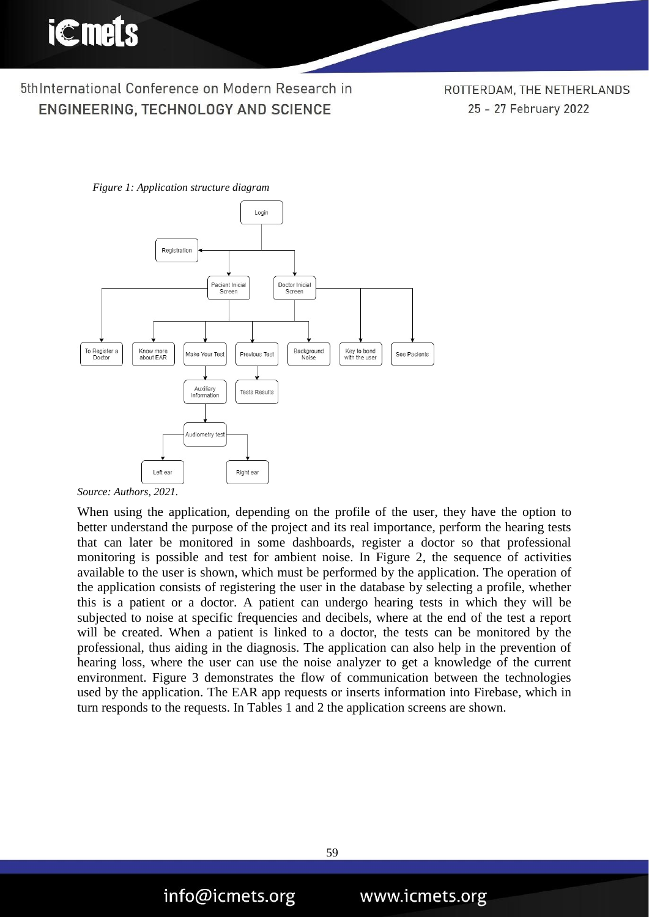ROTTERDAM, THE NETHERLANDS 25 - 27 February 2022



*Figure 1: Application structure diagram*

*Source: Authors, 2021.*

When using the application, depending on the profile of the user, they have the option to better understand the purpose of the project and its real importance, perform the hearing tests that can later be monitored in some dashboards, register a doctor so that professional monitoring is possible and test for ambient noise. In Figure 2, the sequence of activities available to the user is shown, which must be performed by the application. The operation of the application consists of registering the user in the database by selecting a profile, whether this is a patient or a doctor. A patient can undergo hearing tests in which they will be subjected to noise at specific frequencies and decibels, where at the end of the test a report will be created. When a patient is linked to a doctor, the tests can be monitored by the professional, thus aiding in the diagnosis. The application can also help in the prevention of hearing loss, where the user can use the noise analyzer to get a knowledge of the current environment. Figure 3 demonstrates the flow of communication between the technologies used by the application. The EAR app requests or inserts information into Firebase, which in turn responds to the requests. In Tables 1 and 2 the application screens are shown.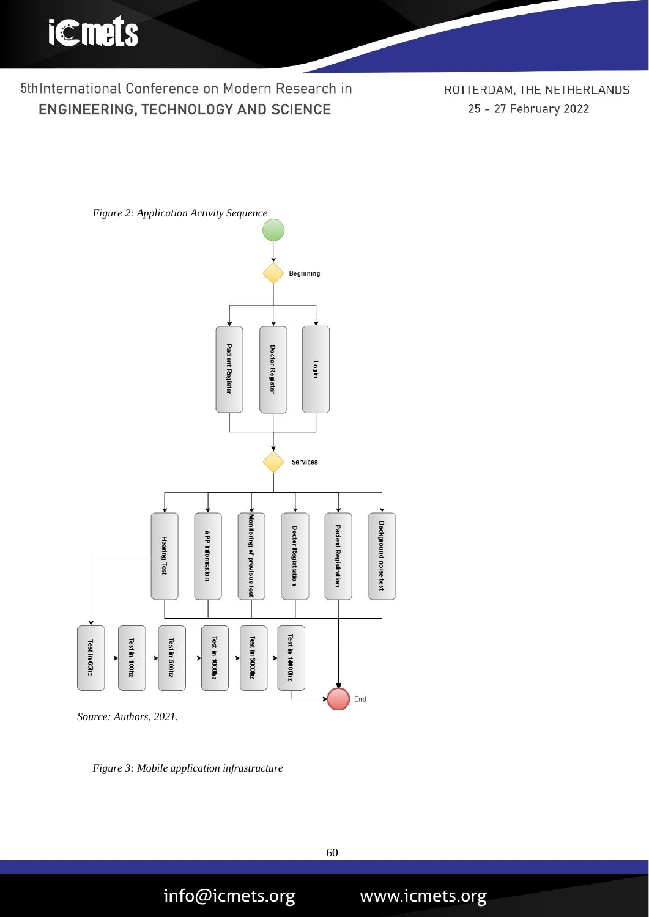

ROTTERDAM, THE NETHERLANDS 25 - 27 February 2022



*Source: Authors, 2021.*

*Figure 3: Mobile application infrastructure*

info@icmets.org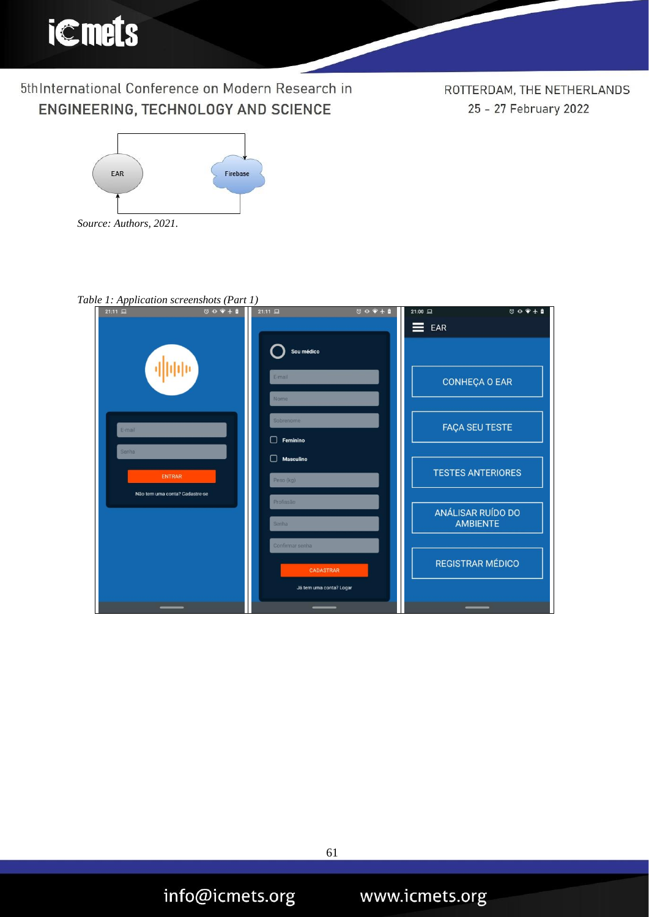

ROTTERDAM, THE NETHERLANDS 25 - 27 February 2022



| Table 1: Application screenshots (Part 1)                                 |                                                         |                                                                                                            |
|---------------------------------------------------------------------------|---------------------------------------------------------|------------------------------------------------------------------------------------------------------------|
| $21:11 \t{2}$                                                             | $21:11 \; \square$<br>$\circ \bullet \bullet + \bullet$ | $\begin{array}{c}\n\heartsuit & \heartsuit & \heartsuit & \heartsuit & \heartsuit\n\end{array}$<br>21:00 旦 |
| E-mail<br><b>Senha</b><br><b>ENTRAR</b><br>Não tem uma conta? Cadastre-se | Sou médico                                              | $\equiv$ EAR                                                                                               |
|                                                                           | E-mail<br>Nome                                          | <b>CONHEÇA O EAR</b>                                                                                       |
|                                                                           | Sobrenome<br>Feminino<br>П                              | <b>FAÇA SEU TESTE</b>                                                                                      |
|                                                                           | <b>Masculino</b><br>П                                   | <b>TESTES ANTERIORES</b>                                                                                   |
|                                                                           | Peso (kg)<br>Profissão                                  | ANÁLISAR RUÍDO DO                                                                                          |
|                                                                           | Senha<br>Confirmar senha                                | <b>AMBIENTE</b>                                                                                            |
|                                                                           | CADASTRAR                                               | <b>REGISTRAR MÉDICO</b>                                                                                    |
|                                                                           | Já tem uma conta? Logar                                 |                                                                                                            |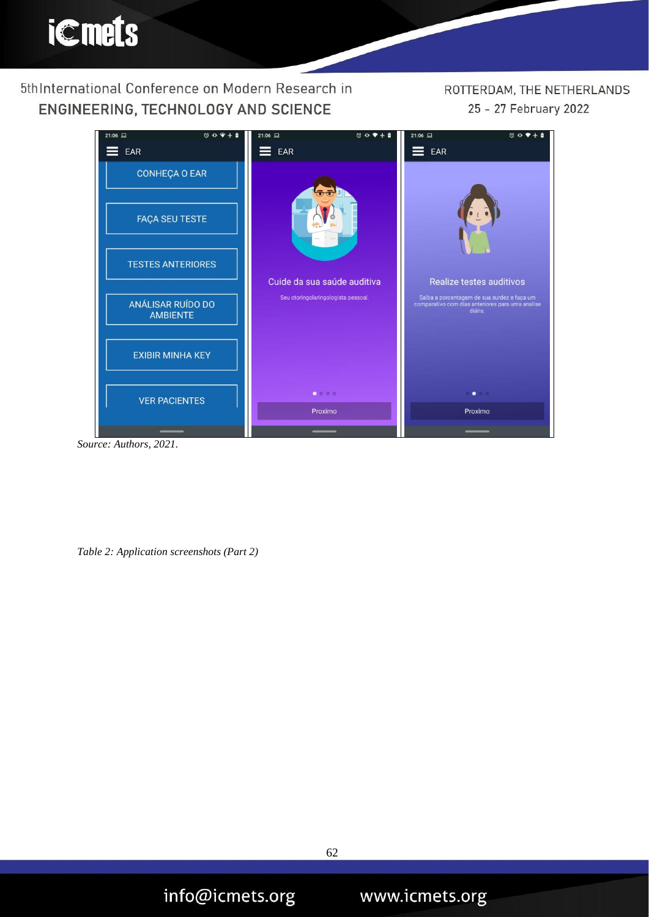## ROTTERDAM, THE NETHERLANDS 25 - 27 February 2022



*Source: Authors, 2021.*

*Table 2: Application screenshots (Part 2)*

info@icmets.org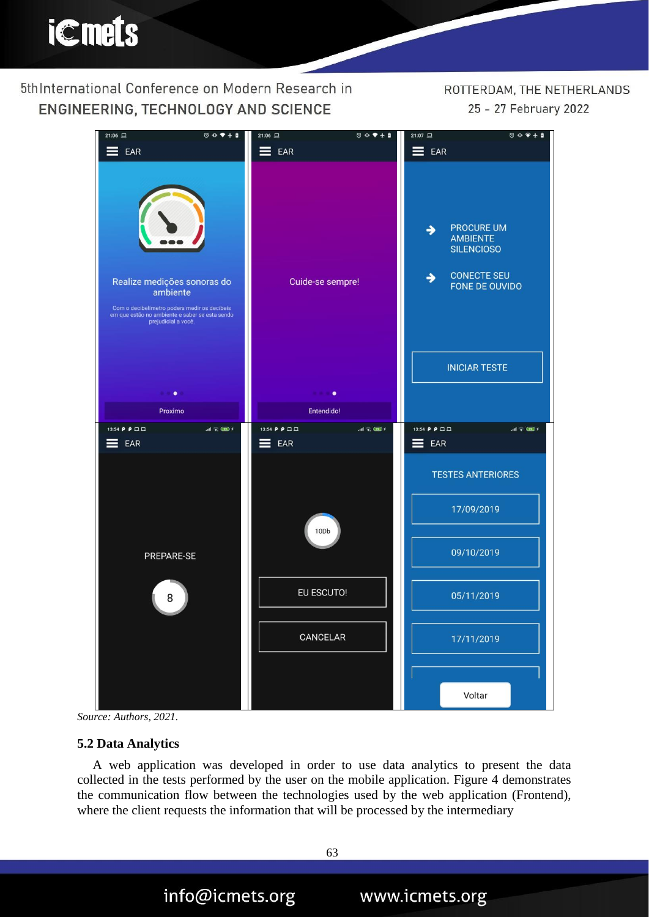ROTTERDAM, THE NETHERLANDS 25 - 27 February 2022





#### **5.2 Data Analytics**

A web application was developed in order to use data analytics to present the data collected in the tests performed by the user on the mobile application. Figure 4 demonstrates the communication flow between the technologies used by the web application (Frontend), where the client requests the information that will be processed by the intermediary

info@icmets.org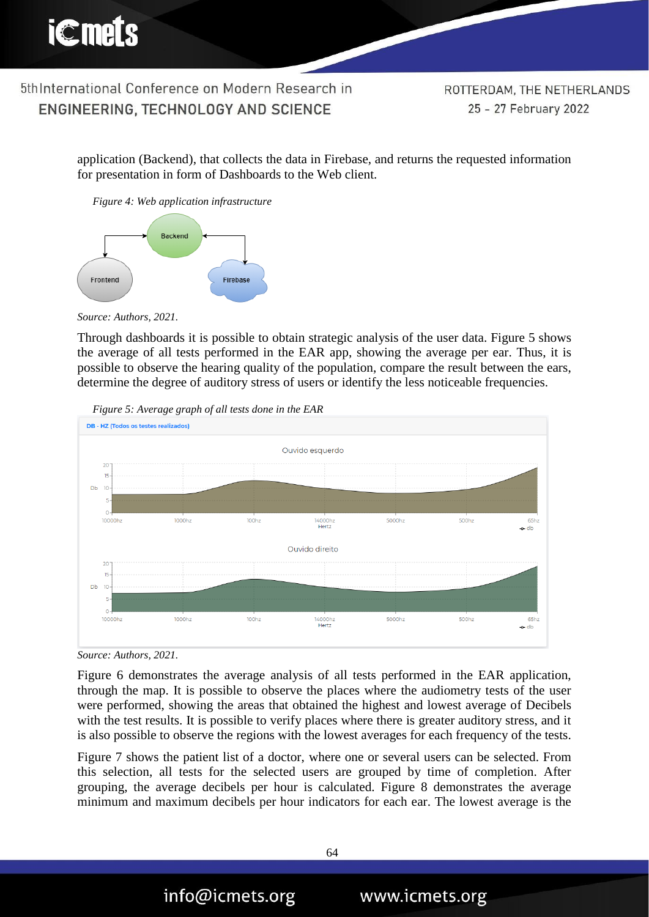

ROTTERDAM, THE NETHERLANDS 25 - 27 February 2022

application (Backend), that collects the data in Firebase, and returns the requested information for presentation in form of Dashboards to the Web client.

*Figure 4: Web application infrastructure*



*Source: Authors, 2021.*

Through dashboards it is possible to obtain strategic analysis of the user data. Figure 5 shows the average of all tests performed in the EAR app, showing the average per ear. Thus, it is possible to observe the hearing quality of the population, compare the result between the ears, determine the degree of auditory stress of users or identify the less noticeable frequencies.



*Figure 5: Average graph of all tests done in the EAR*



Figure 6 demonstrates the average analysis of all tests performed in the EAR application, through the map. It is possible to observe the places where the audiometry tests of the user were performed, showing the areas that obtained the highest and lowest average of Decibels with the test results. It is possible to verify places where there is greater auditory stress, and it is also possible to observe the regions with the lowest averages for each frequency of the tests.

Figure 7 shows the patient list of a doctor, where one or several users can be selected. From this selection, all tests for the selected users are grouped by time of completion. After grouping, the average decibels per hour is calculated. Figure 8 demonstrates the average minimum and maximum decibels per hour indicators for each ear. The lowest average is the

info@icmets.org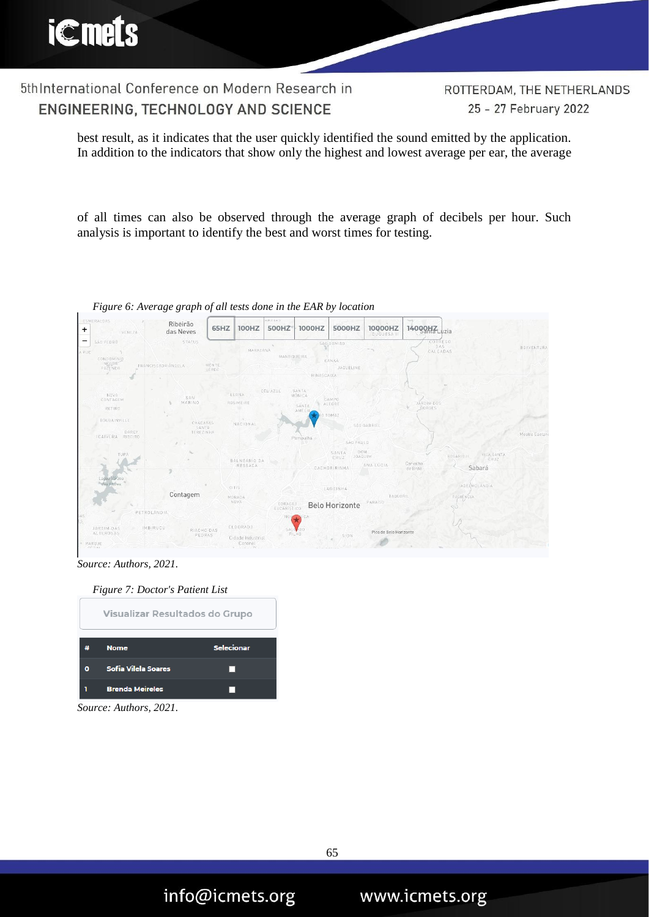5thInternational Conference on Modern Research in ENGINEERING, TECHNOLOGY AND SCIENCE

ROTTERDAM, THE NETHERLANDS 25 - 27 February 2022

best result, as it indicates that the user quickly identified the sound emitted by the application. In addition to the indicators that show only the highest and lowest average per ear, the average

of all times can also be observed through the average graph of decibels per hour. Such analysis is important to identify the best and worst times for testing.



*Figure 6: Average graph of all tests done in the EAR by location*

*Source: Authors, 2021.*



*Source: Authors, 2021.*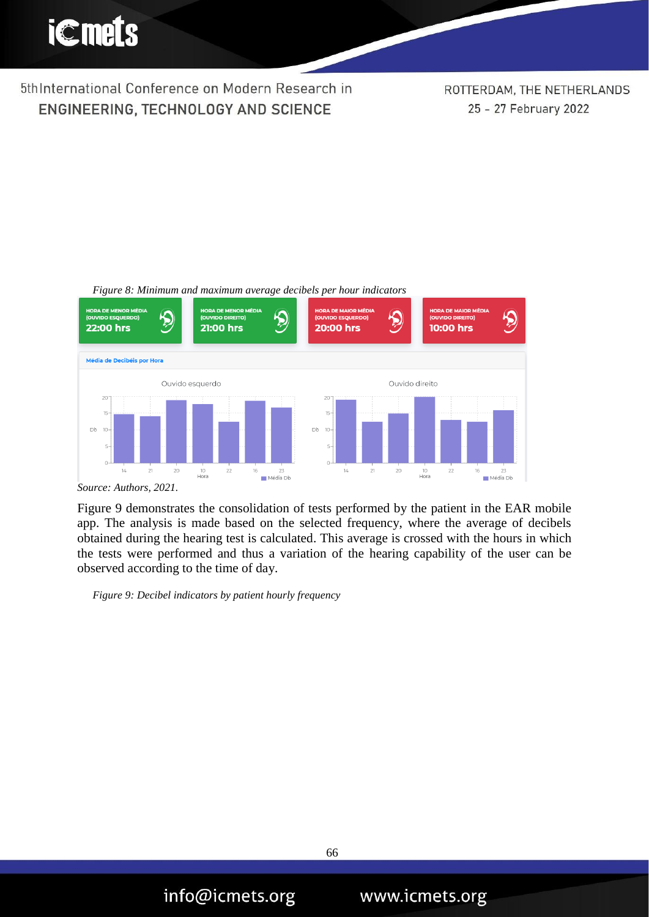

ROTTERDAM, THE NETHERLANDS 25 - 27 February 2022



*Figure 8: Minimum and maximum average decibels per hour indicators*

#### *Source: Authors, 2021.*

Figure 9 demonstrates the consolidation of tests performed by the patient in the EAR mobile app. The analysis is made based on the selected frequency, where the average of decibels obtained during the hearing test is calculated. This average is crossed with the hours in which the tests were performed and thus a variation of the hearing capability of the user can be observed according to the time of day.

*Figure 9: Decibel indicators by patient hourly frequency*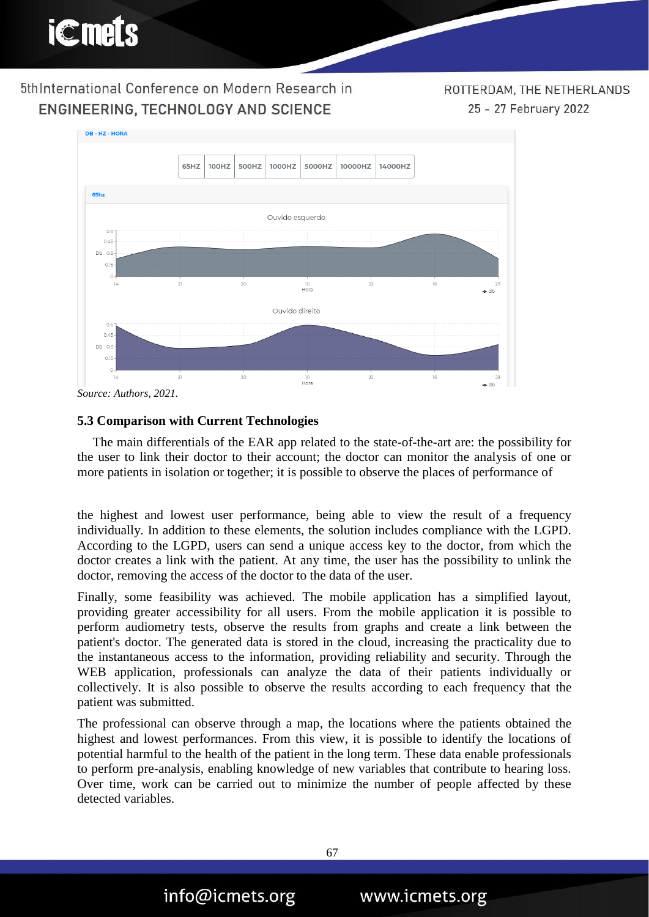ROTTERDAM, THE NETHERLANDS 25 - 27 February 2022



*Source: Authors, 2021.*

### **5.3 Comparison with Current Technologies**

The main differentials of the EAR app related to the state-of-the-art are: the possibility for the user to link their doctor to their account; the doctor can monitor the analysis of one or more patients in isolation or together; it is possible to observe the places of performance of

the highest and lowest user performance, being able to view the result of a frequency individually. In addition to these elements, the solution includes compliance with the LGPD. According to the LGPD, users can send a unique access key to the doctor, from which the doctor creates a link with the patient. At any time, the user has the possibility to unlink the doctor, removing the access of the doctor to the data of the user.

Finally, some feasibility was achieved. The mobile application has a simplified layout, providing greater accessibility for all users. From the mobile application it is possible to perform audiometry tests, observe the results from graphs and create a link between the patient's doctor. The generated data is stored in the cloud, increasing the practicality due to the instantaneous access to the information, providing reliability and security. Through the WEB application, professionals can analyze the data of their patients individually or collectively. It is also possible to observe the results according to each frequency that the patient was submitted.

The professional can observe through a map, the locations where the patients obtained the highest and lowest performances. From this view, it is possible to identify the locations of potential harmful to the health of the patient in the long term. These data enable professionals to perform pre-analysis, enabling knowledge of new variables that contribute to hearing loss. Over time, work can be carried out to minimize the number of people affected by these detected variables.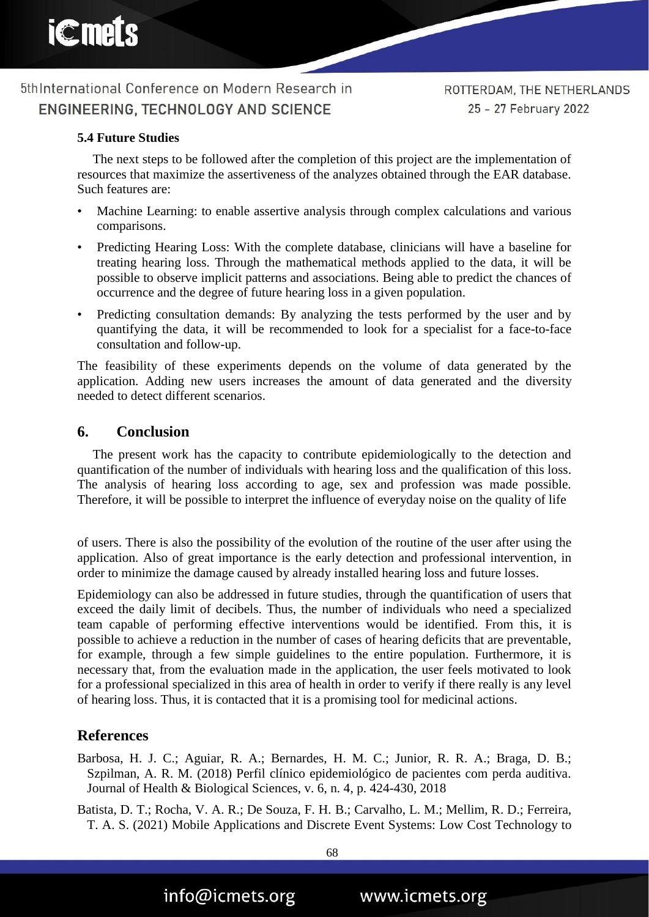

## **5.4 Future Studies**

The next steps to be followed after the completion of this project are the implementation of resources that maximize the assertiveness of the analyzes obtained through the EAR database. Such features are:

- Machine Learning: to enable assertive analysis through complex calculations and various comparisons.
- Predicting Hearing Loss: With the complete database, clinicians will have a baseline for treating hearing loss. Through the mathematical methods applied to the data, it will be possible to observe implicit patterns and associations. Being able to predict the chances of occurrence and the degree of future hearing loss in a given population.
- Predicting consultation demands: By analyzing the tests performed by the user and by quantifying the data, it will be recommended to look for a specialist for a face-to-face consultation and follow-up.

The feasibility of these experiments depends on the volume of data generated by the application. Adding new users increases the amount of data generated and the diversity needed to detect different scenarios.

## **6. Conclusion**

The present work has the capacity to contribute epidemiologically to the detection and quantification of the number of individuals with hearing loss and the qualification of this loss. The analysis of hearing loss according to age, sex and profession was made possible. Therefore, it will be possible to interpret the influence of everyday noise on the quality of life

of users. There is also the possibility of the evolution of the routine of the user after using the application. Also of great importance is the early detection and professional intervention, in order to minimize the damage caused by already installed hearing loss and future losses.

Epidemiology can also be addressed in future studies, through the quantification of users that exceed the daily limit of decibels. Thus, the number of individuals who need a specialized team capable of performing effective interventions would be identified. From this, it is possible to achieve a reduction in the number of cases of hearing deficits that are preventable, for example, through a few simple guidelines to the entire population. Furthermore, it is necessary that, from the evaluation made in the application, the user feels motivated to look for a professional specialized in this area of health in order to verify if there really is any level of hearing loss. Thus, it is contacted that it is a promising tool for medicinal actions.

## **References**

Barbosa, H. J. C.; Aguiar, R. A.; Bernardes, H. M. C.; Junior, R. R. A.; Braga, D. B.; Szpilman, A. R. M. (2018) Perfil clínico epidemiológico de pacientes com perda auditiva. Journal of Health & Biological Sciences, v. 6, n. 4, p. 424-430, 2018

Batista, D. T.; Rocha, V. A. R.; De Souza, F. H. B.; Carvalho, L. M.; Mellim, R. D.; Ferreira, T. A. S. (2021) Mobile Applications and Discrete Event Systems: Low Cost Technology to